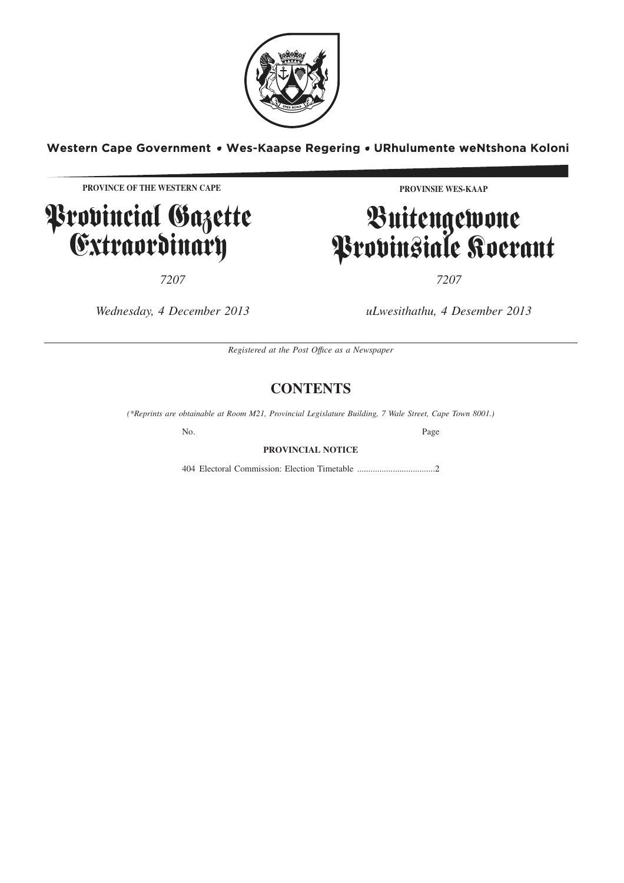

Western Cape Government . Wes-Kaapse Regering . URhulumente weNtshona Koloni

**PROVINCE OF THE WESTERN CAPE**

**P**rovincial Gazette Extraordinary

*7207 7207*

**PROVINSIE WES-KAAP**

# Buitengewone Provinsiale Koerant

*Wednesday, 4 December 2013 uLwesithathu, 4 Desember 2013*

*Registered at the Post Offıce as a Newspaper*

# **CONTENTS**

*(\*Reprints are obtainable at Room M21, Provincial Legislature Building, 7 Wale Street, Cape Town 8001.)*

No. Page

# **PROVINCIAL NOTICE**

404 Electoral Commission: Election Timetable .....................................2